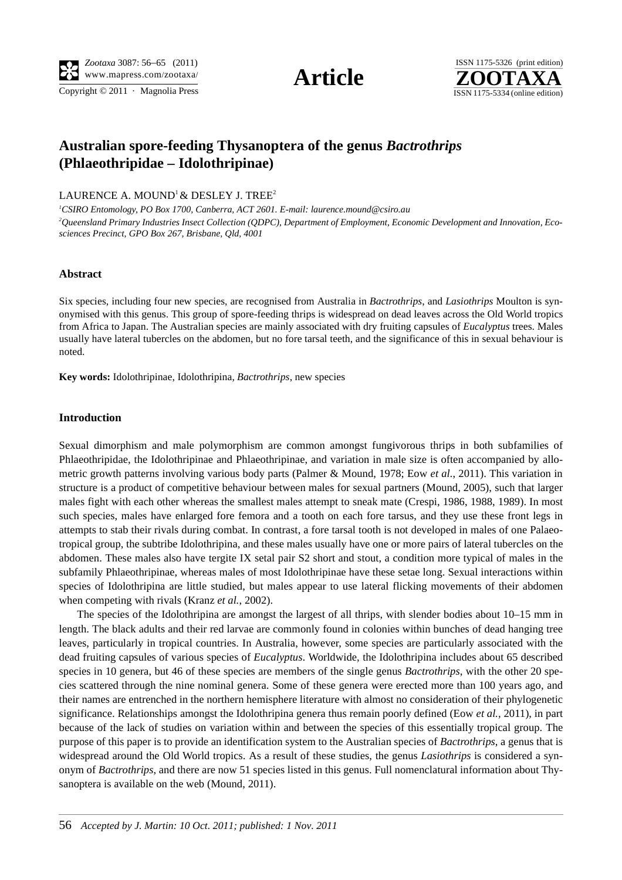Copyright  $\odot$  2011 · Magnolia Press ISSN 1175-5334 (online edition)



# **Australian spore-feeding Thysanoptera of the genus** *Bactrothrips* **(Phlaeothripidae – Idolothripinae)**

LAURENCE A. MOUND<sup>1</sup> & DESLEY J. TREE<sup>2</sup>

*1 CSIRO Entomology, PO Box 1700, Canberra, ACT 2601. E-mail: laurence.mound@csiro.au 2 Queensland Primary Industries Insect Collection (QDPC), Department of Employment, Economic Development and Innovation, Ecosciences Precinct, GPO Box 267, Brisbane, Qld, 4001*

# **Abstract**

Six species, including four new species, are recognised from Australia in *Bactrothrips*, and *Lasiothrips* Moulton is synonymised with this genus. This group of spore-feeding thrips is widespread on dead leaves across the Old World tropics from Africa to Japan. The Australian species are mainly associated with dry fruiting capsules of *Eucalyptus* trees. Males usually have lateral tubercles on the abdomen, but no fore tarsal teeth, and the significance of this in sexual behaviour is noted.

**Key words:** Idolothripinae, Idolothripina, *Bactrothrips*, new species

# **Introduction**

Sexual dimorphism and male polymorphism are common amongst fungivorous thrips in both subfamilies of Phlaeothripidae, the Idolothripinae and Phlaeothripinae, and variation in male size is often accompanied by allometric growth patterns involving various body parts (Palmer & Mound, 1978; Eow *et al.*, 2011). This variation in structure is a product of competitive behaviour between males for sexual partners (Mound, 2005), such that larger males fight with each other whereas the smallest males attempt to sneak mate (Crespi, 1986, 1988, 1989). In most such species, males have enlarged fore femora and a tooth on each fore tarsus, and they use these front legs in attempts to stab their rivals during combat. In contrast, a fore tarsal tooth is not developed in males of one Palaeotropical group, the subtribe Idolothripina, and these males usually have one or more pairs of lateral tubercles on the abdomen. These males also have tergite IX setal pair S2 short and stout, a condition more typical of males in the subfamily Phlaeothripinae, whereas males of most Idolothripinae have these setae long. Sexual interactions within species of Idolothripina are little studied, but males appear to use lateral flicking movements of their abdomen when competing with rivals (Kranz *et al.*, 2002).

The species of the Idolothripina are amongst the largest of all thrips, with slender bodies about 10–15 mm in length. The black adults and their red larvae are commonly found in colonies within bunches of dead hanging tree leaves, particularly in tropical countries. In Australia, however, some species are particularly associated with the dead fruiting capsules of various species of *Eucalyptus*. Worldwide, the Idolothripina includes about 65 described species in 10 genera, but 46 of these species are members of the single genus *Bactrothrips*, with the other 20 species scattered through the nine nominal genera. Some of these genera were erected more than 100 years ago, and their names are entrenched in the northern hemisphere literature with almost no consideration of their phylogenetic significance. Relationships amongst the Idolothripina genera thus remain poorly defined (Eow *et al.*, 2011), in part because of the lack of studies on variation within and between the species of this essentially tropical group. The purpose of this paper is to provide an identification system to the Australian species of *Bactrothrips*, a genus that is widespread around the Old World tropics. As a result of these studies, the genus *Lasiothrips* is considered a synonym of *Bactrothrips*, and there are now 51 species listed in this genus. Full nomenclatural information about Thysanoptera is available on the web (Mound, 2011).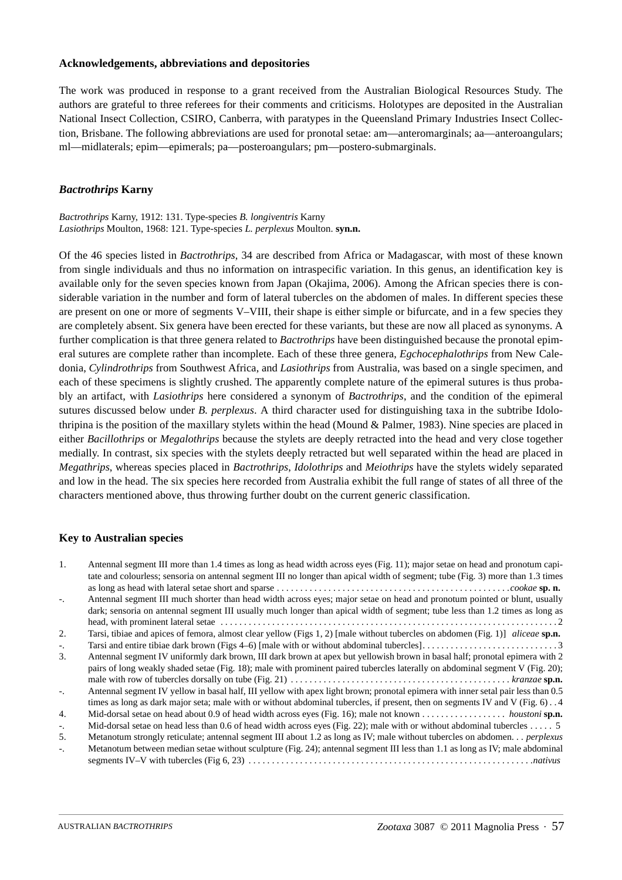# **Acknowledgements, abbreviations and depositories**

The work was produced in response to a grant received from the Australian Biological Resources Study. The authors are grateful to three referees for their comments and criticisms. Holotypes are deposited in the Australian National Insect Collection, CSIRO, Canberra, with paratypes in the Queensland Primary Industries Insect Collection, Brisbane. The following abbreviations are used for pronotal setae: am—anteromarginals; aa—anteroangulars; ml—midlaterals; epim—epimerals; pa—posteroangulars; pm—postero-submarginals.

# *Bactrothrips* **Karny**

*Bactrothrips* Karny, 1912: 131. Type-species *B. longiventris* Karny *Lasiothrips* Moulton, 1968: 121. Type-species *L. perplexus* Moulton. **syn.n.**

Of the 46 species listed in *Bactrothrips*, 34 are described from Africa or Madagascar, with most of these known from single individuals and thus no information on intraspecific variation. In this genus, an identification key is available only for the seven species known from Japan (Okajima, 2006). Among the African species there is considerable variation in the number and form of lateral tubercles on the abdomen of males. In different species these are present on one or more of segments V–VIII, their shape is either simple or bifurcate, and in a few species they are completely absent. Six genera have been erected for these variants, but these are now all placed as synonyms. A further complication is that three genera related to *Bactrothrips* have been distinguished because the pronotal epimeral sutures are complete rather than incomplete. Each of these three genera, *Egchocephalothrips* from New Caledonia, *Cylindrothrips* from Southwest Africa, and *Lasiothrips* from Australia, was based on a single specimen, and each of these specimens is slightly crushed. The apparently complete nature of the epimeral sutures is thus probably an artifact, with *Lasiothrips* here considered a synonym of *Bactrothrips*, and the condition of the epimeral sutures discussed below under *B. perplexus*. A third character used for distinguishing taxa in the subtribe Idolothripina is the position of the maxillary stylets within the head (Mound & Palmer, 1983). Nine species are placed in either *Bacillothrips* or *Megalothrips* because the stylets are deeply retracted into the head and very close together medially. In contrast, six species with the stylets deeply retracted but well separated within the head are placed in *Megathrips*, whereas species placed in *Bactrothrips*, *Idolothrips* and *Meiothrips* have the stylets widely separated and low in the head. The six species here recorded from Australia exhibit the full range of states of all three of the characters mentioned above, thus throwing further doubt on the current generic classification.

# **Key to Australian species**

| $\mathbf{1}$ .   | Antennal segment III more than 1.4 times as long as head width across eyes (Fig. 11); major setae on head and pronotum capi-          |
|------------------|---------------------------------------------------------------------------------------------------------------------------------------|
|                  | tate and colourless; sensoria on antennal segment III no longer than apical width of segment; tube (Fig. 3) more than 1.3 times       |
|                  |                                                                                                                                       |
|                  | Antennal segment III much shorter than head width across eyes; major setae on head and pronotum pointed or blunt, usually             |
|                  | dark; sensoria on antennal segment III usually much longer than apical width of segment; tube less than 1.2 times as long as          |
|                  |                                                                                                                                       |
| 2.               | Tarsi, tibiae and apices of femora, almost clear yellow (Figs 1, 2) [male without tubercles on abdomen (Fig. 1)] <i>aliceae</i> sp.n. |
| $-$ .            |                                                                                                                                       |
| 3.               | Antennal segment IV uniformly dark brown, III dark brown at apex but yellowish brown in basal half; pronotal epimera with 2           |
|                  | pairs of long weakly shaded setae (Fig. 18); male with prominent paired tubercles laterally on abdominal segment V (Fig. 20);         |
|                  |                                                                                                                                       |
|                  | Antennal segment IV yellow in basal half, III yellow with apex light brown; pronotal epimera with inner setal pair less than 0.5      |
|                  | times as long as dark major seta; male with or without abdominal tubercles, if present, then on segments IV and V (Fig. 6). .4        |
| $\overline{4}$ . | Mid-dorsal setae on head about 0.9 of head width across eyes (Fig. 16); male not known houstoni sp.n.                                 |
| $-$ .            | Mid-dorsal setae on head less than 0.6 of head width across eyes (Fig. 22); male with or without abdominal tubercles  5               |
| .5.              | Metanotum strongly reticulate; antennal segment III about 1.2 as long as IV; male without tubercles on abdomen. perplexus             |
| $-$ .            | Metanotum between median setae without sculpture (Fig. 24); antennal segment III less than 1.1 as long as IV; male abdominal          |
|                  |                                                                                                                                       |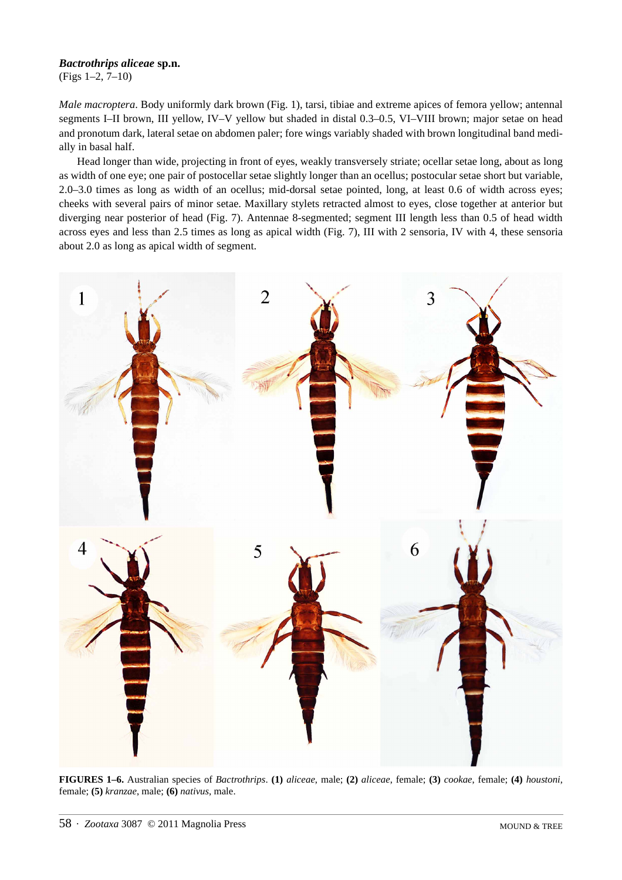# *Bactrothrips aliceae* **sp.n.**

(Figs 1–2, 7–10)

*Male macroptera*. Body uniformly dark brown (Fig. 1), tarsi, tibiae and extreme apices of femora yellow; antennal segments I–II brown, III yellow, IV–V yellow but shaded in distal 0.3–0.5, VI–VIII brown; major setae on head and pronotum dark, lateral setae on abdomen paler; fore wings variably shaded with brown longitudinal band medially in basal half.

Head longer than wide, projecting in front of eyes, weakly transversely striate; ocellar setae long, about as long as width of one eye; one pair of postocellar setae slightly longer than an ocellus; postocular setae short but variable, 2.0–3.0 times as long as width of an ocellus; mid-dorsal setae pointed, long, at least 0.6 of width across eyes; cheeks with several pairs of minor setae. Maxillary stylets retracted almost to eyes, close together at anterior but diverging near posterior of head (Fig. 7). Antennae 8-segmented; segment III length less than 0.5 of head width across eyes and less than 2.5 times as long as apical width (Fig. 7), III with 2 sensoria, IV with 4, these sensoria about 2.0 as long as apical width of segment.



**FIGURES 1–6.** Australian species of *Bactrothrips*. **(1)** *aliceae*, male; **(2)** *aliceae*, female; **(3)** *cookae*, female; **(4)** *houstoni*, female; **(5)** *kranzae*, male; **(6)** *nativus*, male.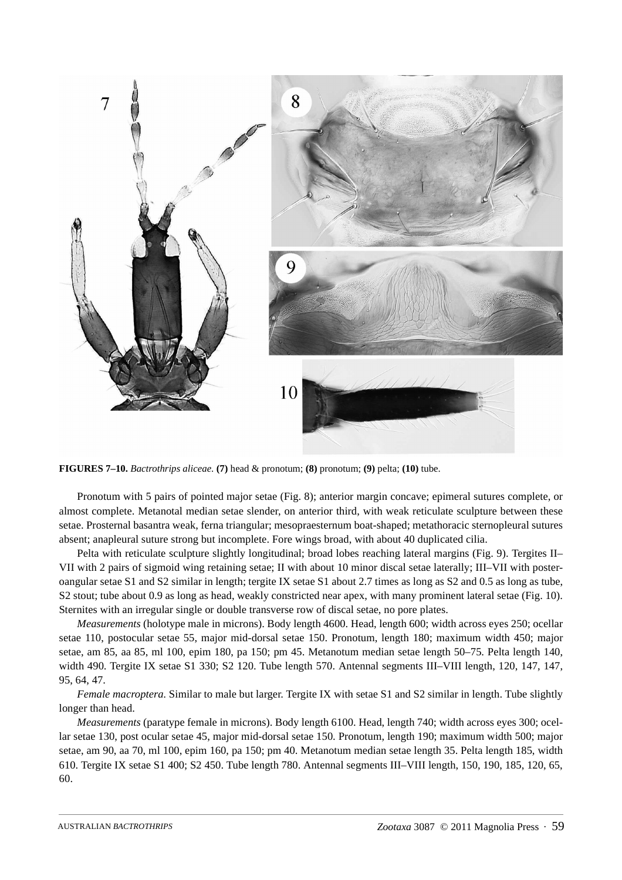

**FIGURES 7–10.** *Bactrothrips aliceae*. **(7)** head & pronotum; **(8)** pronotum; **(9)** pelta; **(10)** tube.

Pronotum with 5 pairs of pointed major setae (Fig. 8); anterior margin concave; epimeral sutures complete, or almost complete. Metanotal median setae slender, on anterior third, with weak reticulate sculpture between these setae. Prosternal basantra weak, ferna triangular; mesopraesternum boat-shaped; metathoracic sternopleural sutures absent; anapleural suture strong but incomplete. Fore wings broad, with about 40 duplicated cilia.

Pelta with reticulate sculpture slightly longitudinal; broad lobes reaching lateral margins (Fig. 9). Tergites II– VII with 2 pairs of sigmoid wing retaining setae; II with about 10 minor discal setae laterally; III–VII with posteroangular setae S1 and S2 similar in length; tergite IX setae S1 about 2.7 times as long as S2 and 0.5 as long as tube, S2 stout; tube about 0.9 as long as head, weakly constricted near apex, with many prominent lateral setae (Fig. 10). Sternites with an irregular single or double transverse row of discal setae, no pore plates.

*Measurements* (holotype male in microns). Body length 4600. Head, length 600; width across eyes 250; ocellar setae 110, postocular setae 55, major mid-dorsal setae 150. Pronotum, length 180; maximum width 450; major setae, am 85, aa 85, ml 100, epim 180, pa 150; pm 45. Metanotum median setae length 50–75. Pelta length 140, width 490. Tergite IX setae S1 330; S2 120. Tube length 570. Antennal segments III–VIII length, 120, 147, 147, 95, 64, 47.

*Female macroptera.* Similar to male but larger. Tergite IX with setae S1 and S2 similar in length. Tube slightly longer than head.

*Measurements* (paratype female in microns). Body length 6100. Head, length 740; width across eyes 300; ocellar setae 130, post ocular setae 45, major mid-dorsal setae 150. Pronotum, length 190; maximum width 500; major setae, am 90, aa 70, ml 100, epim 160, pa 150; pm 40. Metanotum median setae length 35. Pelta length 185, width 610. Tergite IX setae S1 400; S2 450. Tube length 780. Antennal segments III–VIII length, 150, 190, 185, 120, 65, 60.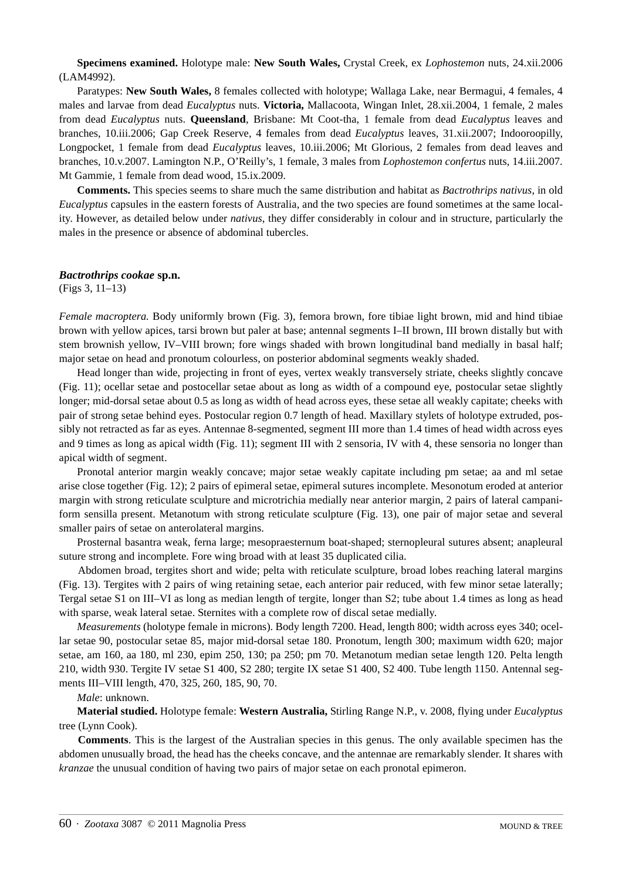**Specimens examined.** Holotype male: **New South Wales,** Crystal Creek, ex *Lophostemon* nuts, 24.xii.2006 (LAM4992).

Paratypes: **New South Wales,** 8 females collected with holotype; Wallaga Lake, near Bermagui, 4 females, 4 males and larvae from dead *Eucalyptus* nuts. **Victoria,** Mallacoota, Wingan Inlet, 28.xii.2004, 1 female, 2 males from dead *Eucalyptus* nuts. **Queensland**, Brisbane: Mt Coot-tha, 1 female from dead *Eucalyptus* leaves and branches, 10.iii.2006; Gap Creek Reserve, 4 females from dead *Eucalyptus* leaves, 31.xii.2007; Indooroopilly, Longpocket, 1 female from dead *Eucalyptus* leaves, 10.iii.2006; Mt Glorious, 2 females from dead leaves and branches, 10.v.2007. Lamington N.P., O'Reilly's, 1 female, 3 males from *Lophostemon confertus* nuts, 14.iii.2007. Mt Gammie, 1 female from dead wood, 15.ix.2009.

**Comments.** This species seems to share much the same distribution and habitat as *Bactrothrips nativus*, in old *Eucalyptus* capsules in the eastern forests of Australia, and the two species are found sometimes at the same locality. However, as detailed below under *nativus*, they differ considerably in colour and in structure, particularly the males in the presence or absence of abdominal tubercles.

#### *Bactrothrips cookae* **sp.n.**

(Figs 3, 11–13)

*Female macroptera.* Body uniformly brown (Fig. 3), femora brown, fore tibiae light brown, mid and hind tibiae brown with yellow apices, tarsi brown but paler at base; antennal segments I–II brown, III brown distally but with stem brownish yellow, IV–VIII brown; fore wings shaded with brown longitudinal band medially in basal half; major setae on head and pronotum colourless, on posterior abdominal segments weakly shaded.

Head longer than wide, projecting in front of eyes, vertex weakly transversely striate, cheeks slightly concave (Fig. 11); ocellar setae and postocellar setae about as long as width of a compound eye, postocular setae slightly longer; mid-dorsal setae about 0.5 as long as width of head across eyes, these setae all weakly capitate; cheeks with pair of strong setae behind eyes. Postocular region 0.7 length of head. Maxillary stylets of holotype extruded, possibly not retracted as far as eyes. Antennae 8-segmented, segment III more than 1.4 times of head width across eyes and 9 times as long as apical width (Fig. 11); segment III with 2 sensoria, IV with 4, these sensoria no longer than apical width of segment.

Pronotal anterior margin weakly concave; major setae weakly capitate including pm setae; aa and ml setae arise close together (Fig. 12); 2 pairs of epimeral setae, epimeral sutures incomplete. Mesonotum eroded at anterior margin with strong reticulate sculpture and microtrichia medially near anterior margin, 2 pairs of lateral campaniform sensilla present. Metanotum with strong reticulate sculpture (Fig. 13), one pair of major setae and several smaller pairs of setae on anterolateral margins.

Prosternal basantra weak, ferna large; mesopraesternum boat-shaped; sternopleural sutures absent; anapleural suture strong and incomplete. Fore wing broad with at least 35 duplicated cilia.

Abdomen broad, tergites short and wide; pelta with reticulate sculpture, broad lobes reaching lateral margins (Fig. 13). Tergites with 2 pairs of wing retaining setae, each anterior pair reduced, with few minor setae laterally; Tergal setae S1 on III–VI as long as median length of tergite, longer than S2; tube about 1.4 times as long as head with sparse, weak lateral setae. Sternites with a complete row of discal setae medially.

*Measurements* (holotype female in microns). Body length 7200. Head, length 800; width across eyes 340; ocellar setae 90, postocular setae 85, major mid-dorsal setae 180. Pronotum, length 300; maximum width 620; major setae, am 160, aa 180, ml 230, epim 250, 130; pa 250; pm 70. Metanotum median setae length 120. Pelta length 210, width 930. Tergite IV setae S1 400, S2 280; tergite IX setae S1 400, S2 400. Tube length 1150. Antennal segments III–VIII length, 470, 325, 260, 185, 90, 70.

#### *Male*: unknown.

**Material studied.** Holotype female: **Western Australia,** Stirling Range N.P., v. 2008, flying under *Eucalyptus* tree (Lynn Cook).

**Comments**. This is the largest of the Australian species in this genus. The only available specimen has the abdomen unusually broad, the head has the cheeks concave, and the antennae are remarkably slender. It shares with *kranzae* the unusual condition of having two pairs of major setae on each pronotal epimeron.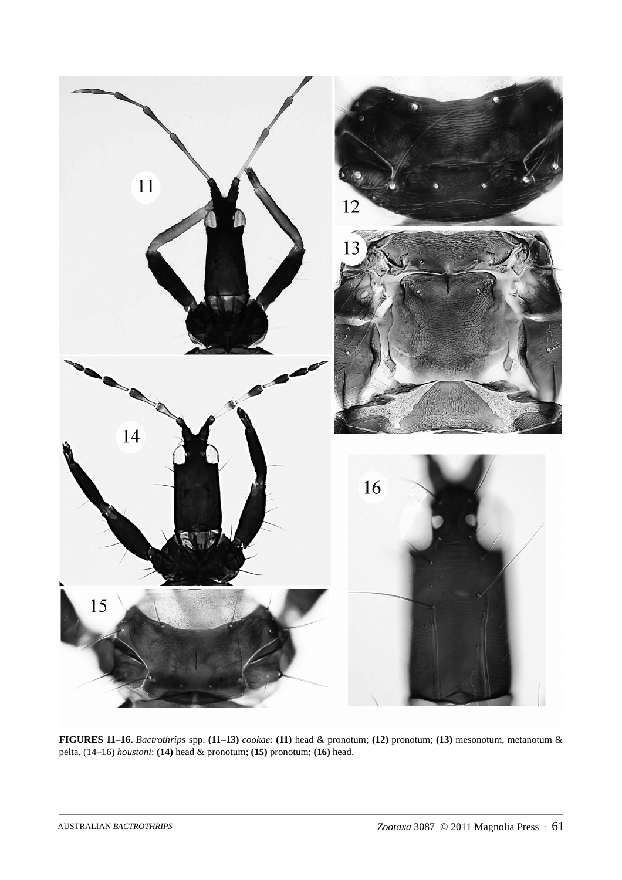

**FIGURES 11–16.** *Bactrothrips* spp. **(11–13)** *cookae*: **(11)** head & pronotum; **(12)** pronotum; **(13)** mesonotum, metanotum & pelta. (14–16) *houstoni*: **(14)** head & pronotum; **(15)** pronotum; **(16)** head.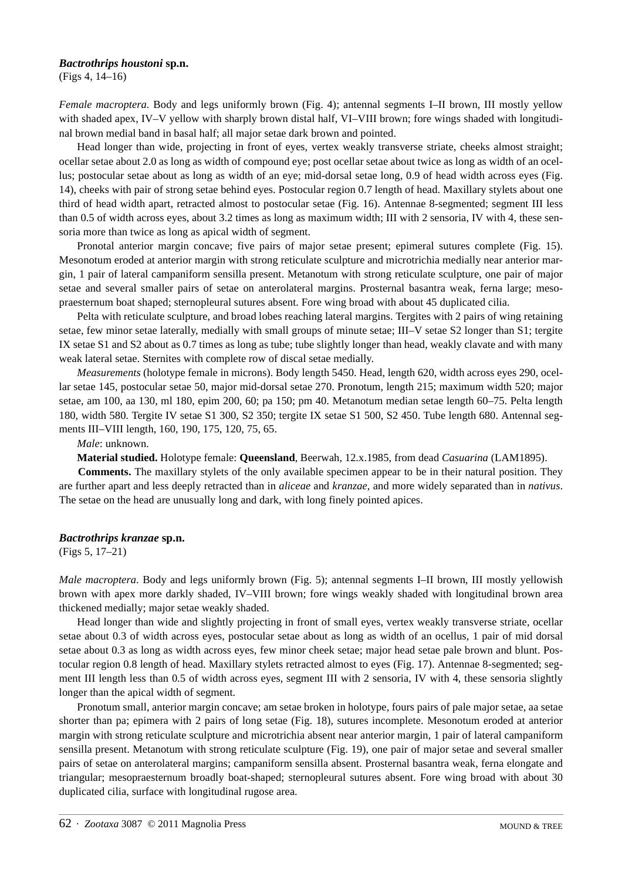# *Bactrothrips houstoni* **sp.n.**

(Figs 4, 14–16)

*Female macroptera.* Body and legs uniformly brown (Fig. 4); antennal segments I–II brown, III mostly yellow with shaded apex, IV–V yellow with sharply brown distal half, VI–VIII brown; fore wings shaded with longitudinal brown medial band in basal half; all major setae dark brown and pointed.

Head longer than wide, projecting in front of eyes, vertex weakly transverse striate, cheeks almost straight; ocellar setae about 2.0 as long as width of compound eye; post ocellar setae about twice as long as width of an ocellus; postocular setae about as long as width of an eye; mid-dorsal setae long, 0.9 of head width across eyes (Fig. 14), cheeks with pair of strong setae behind eyes. Postocular region 0.7 length of head. Maxillary stylets about one third of head width apart, retracted almost to postocular setae (Fig. 16). Antennae 8-segmented; segment III less than 0.5 of width across eyes, about 3.2 times as long as maximum width; III with 2 sensoria, IV with 4, these sensoria more than twice as long as apical width of segment.

Pronotal anterior margin concave; five pairs of major setae present; epimeral sutures complete (Fig. 15). Mesonotum eroded at anterior margin with strong reticulate sculpture and microtrichia medially near anterior margin, 1 pair of lateral campaniform sensilla present. Metanotum with strong reticulate sculpture, one pair of major setae and several smaller pairs of setae on anterolateral margins. Prosternal basantra weak, ferna large; mesopraesternum boat shaped; sternopleural sutures absent. Fore wing broad with about 45 duplicated cilia.

Pelta with reticulate sculpture, and broad lobes reaching lateral margins. Tergites with 2 pairs of wing retaining setae, few minor setae laterally, medially with small groups of minute setae; III–V setae S2 longer than S1; tergite IX setae S1 and S2 about as 0.7 times as long as tube; tube slightly longer than head, weakly clavate and with many weak lateral setae. Sternites with complete row of discal setae medially.

*Measurements* (holotype female in microns). Body length 5450. Head, length 620, width across eyes 290, ocellar setae 145, postocular setae 50, major mid-dorsal setae 270. Pronotum, length 215; maximum width 520; major setae, am 100, aa 130, ml 180, epim 200, 60; pa 150; pm 40. Metanotum median setae length 60–75. Pelta length 180, width 580. Tergite IV setae S1 300, S2 350; tergite IX setae S1 500, S2 450. Tube length 680. Antennal segments III–VIII length, 160, 190, 175, 120, 75, 65.

*Male*: unknown.

**Material studied.** Holotype female: **Queensland**, Beerwah, 12.x.1985, from dead *Casuarina* (LAM1895).

**Comments.** The maxillary stylets of the only available specimen appear to be in their natural position. They are further apart and less deeply retracted than in *aliceae* and *kranzae*, and more widely separated than in *nativus*. The setae on the head are unusually long and dark, with long finely pointed apices.

# *Bactrothrips kranzae* **sp.n.**

(Figs 5, 17–21)

*Male macroptera*. Body and legs uniformly brown (Fig. 5); antennal segments I–II brown, III mostly yellowish brown with apex more darkly shaded, IV–VIII brown; fore wings weakly shaded with longitudinal brown area thickened medially; major setae weakly shaded.

Head longer than wide and slightly projecting in front of small eyes, vertex weakly transverse striate, ocellar setae about 0.3 of width across eyes, postocular setae about as long as width of an ocellus, 1 pair of mid dorsal setae about 0.3 as long as width across eyes, few minor cheek setae; major head setae pale brown and blunt. Postocular region 0.8 length of head. Maxillary stylets retracted almost to eyes (Fig. 17). Antennae 8-segmented; segment III length less than 0.5 of width across eyes, segment III with 2 sensoria, IV with 4, these sensoria slightly longer than the apical width of segment.

Pronotum small, anterior margin concave; am setae broken in holotype, fours pairs of pale major setae, aa setae shorter than pa; epimera with 2 pairs of long setae (Fig. 18), sutures incomplete. Mesonotum eroded at anterior margin with strong reticulate sculpture and microtrichia absent near anterior margin, 1 pair of lateral campaniform sensilla present. Metanotum with strong reticulate sculpture (Fig. 19), one pair of major setae and several smaller pairs of setae on anterolateral margins; campaniform sensilla absent. Prosternal basantra weak, ferna elongate and triangular; mesopraesternum broadly boat-shaped; sternopleural sutures absent. Fore wing broad with about 30 duplicated cilia, surface with longitudinal rugose area.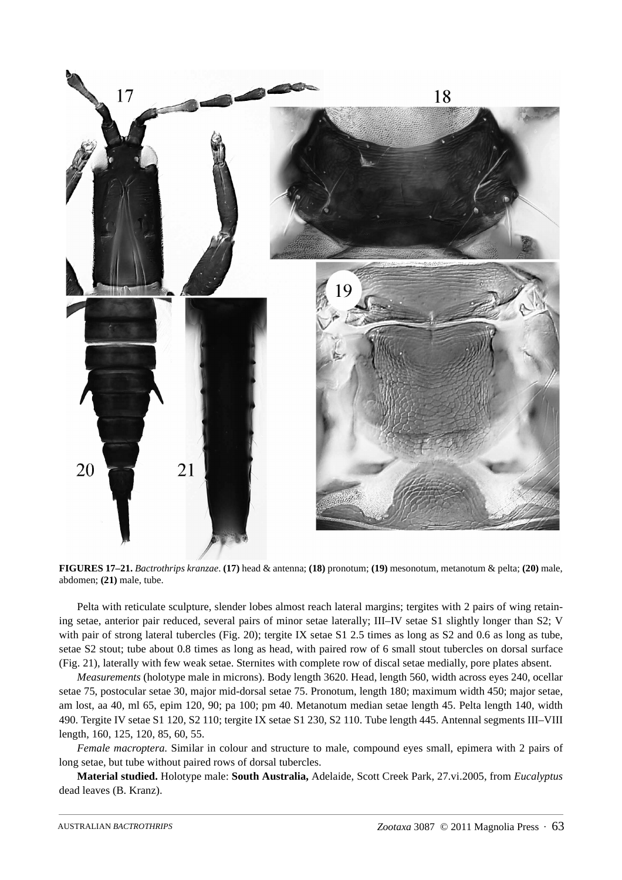

**FIGURES 17–21.** *Bactrothrips kranzae*. **(17)** head & antenna; **(18)** pronotum; **(19)** mesonotum, metanotum & pelta; **(20)** male, abdomen; **(21)** male, tube.

Pelta with reticulate sculpture, slender lobes almost reach lateral margins; tergites with 2 pairs of wing retaining setae, anterior pair reduced, several pairs of minor setae laterally; III–IV setae S1 slightly longer than S2; V with pair of strong lateral tubercles (Fig. 20); tergite IX setae S1 2.5 times as long as S2 and 0.6 as long as tube, setae S2 stout; tube about 0.8 times as long as head, with paired row of 6 small stout tubercles on dorsal surface (Fig. 21), laterally with few weak setae. Sternites with complete row of discal setae medially, pore plates absent.

*Measurements* (holotype male in microns). Body length 3620. Head, length 560, width across eyes 240, ocellar setae 75, postocular setae 30, major mid-dorsal setae 75. Pronotum, length 180; maximum width 450; major setae, am lost, aa 40, ml 65, epim 120, 90; pa 100; pm 40. Metanotum median setae length 45. Pelta length 140, width 490. Tergite IV setae S1 120, S2 110; tergite IX setae S1 230, S2 110. Tube length 445. Antennal segments III–VIII length, 160, 125, 120, 85, 60, 55.

*Female macroptera*. Similar in colour and structure to male, compound eyes small, epimera with 2 pairs of long setae, but tube without paired rows of dorsal tubercles.

**Material studied.** Holotype male: **South Australia,** Adelaide, Scott Creek Park, 27.vi.2005, from *Eucalyptus* dead leaves (B. Kranz).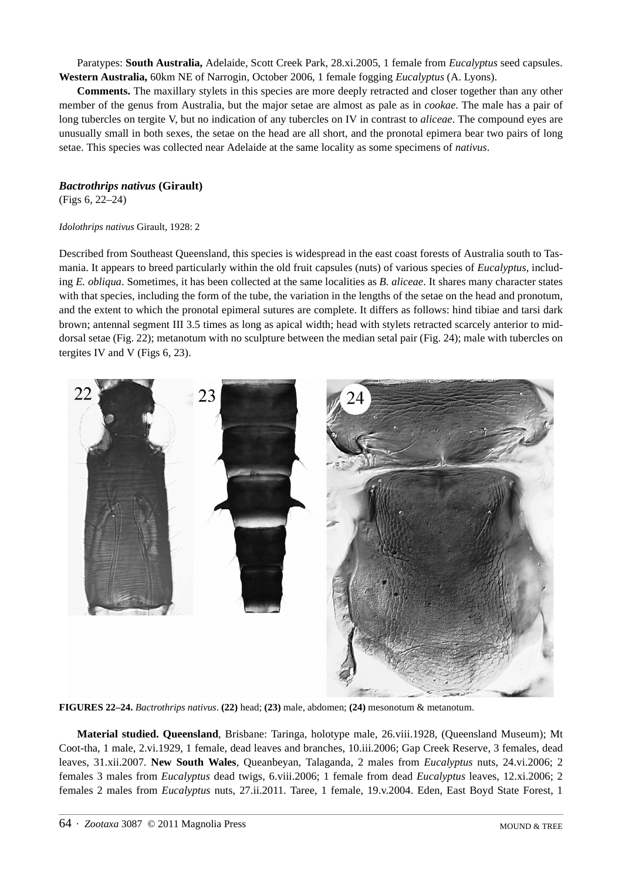Paratypes: **South Australia,** Adelaide, Scott Creek Park, 28.xi.2005, 1 female from *Eucalyptus* seed capsules. **Western Australia,** 60km NE of Narrogin, October 2006, 1 female fogging *Eucalyptus* (A. Lyons).

**Comments.** The maxillary stylets in this species are more deeply retracted and closer together than any other member of the genus from Australia, but the major setae are almost as pale as in *cookae*. The male has a pair of long tubercles on tergite V, but no indication of any tubercles on IV in contrast to *aliceae*. The compound eyes are unusually small in both sexes, the setae on the head are all short, and the pronotal epimera bear two pairs of long setae. This species was collected near Adelaide at the same locality as some specimens of *nativus*.

# *Bactrothrips nativus* **(Girault)**

(Figs 6, 22–24)

#### *Idolothrips nativus* Girault, 1928: 2

Described from Southeast Queensland, this species is widespread in the east coast forests of Australia south to Tasmania. It appears to breed particularly within the old fruit capsules (nuts) of various species of *Eucalyptus*, including *E. obliqua*. Sometimes, it has been collected at the same localities as *B. aliceae*. It shares many character states with that species, including the form of the tube, the variation in the lengths of the setae on the head and pronotum, and the extent to which the pronotal epimeral sutures are complete. It differs as follows: hind tibiae and tarsi dark brown; antennal segment III 3.5 times as long as apical width; head with stylets retracted scarcely anterior to middorsal setae (Fig. 22); metanotum with no sculpture between the median setal pair (Fig. 24); male with tubercles on tergites IV and V (Figs 6, 23).



**FIGURES 22–24.** *Bactrothrips nativus*. **(22)** head; **(23)** male, abdomen; **(24)** mesonotum & metanotum.

**Material studied. Queensland**, Brisbane: Taringa, holotype male, 26.viii.1928, (Queensland Museum); Mt Coot-tha, 1 male, 2.vi.1929, 1 female, dead leaves and branches, 10.iii.2006; Gap Creek Reserve, 3 females, dead leaves, 31.xii.2007. **New South Wales**, Queanbeyan, Talaganda, 2 males from *Eucalyptus* nuts, 24.vi.2006; 2 females 3 males from *Eucalyptus* dead twigs, 6.viii.2006; 1 female from dead *Eucalyptus* leaves, 12.xi.2006; 2 females 2 males from *Eucalyptus* nuts, 27.ii.2011. Taree, 1 female, 19.v.2004. Eden, East Boyd State Forest, 1